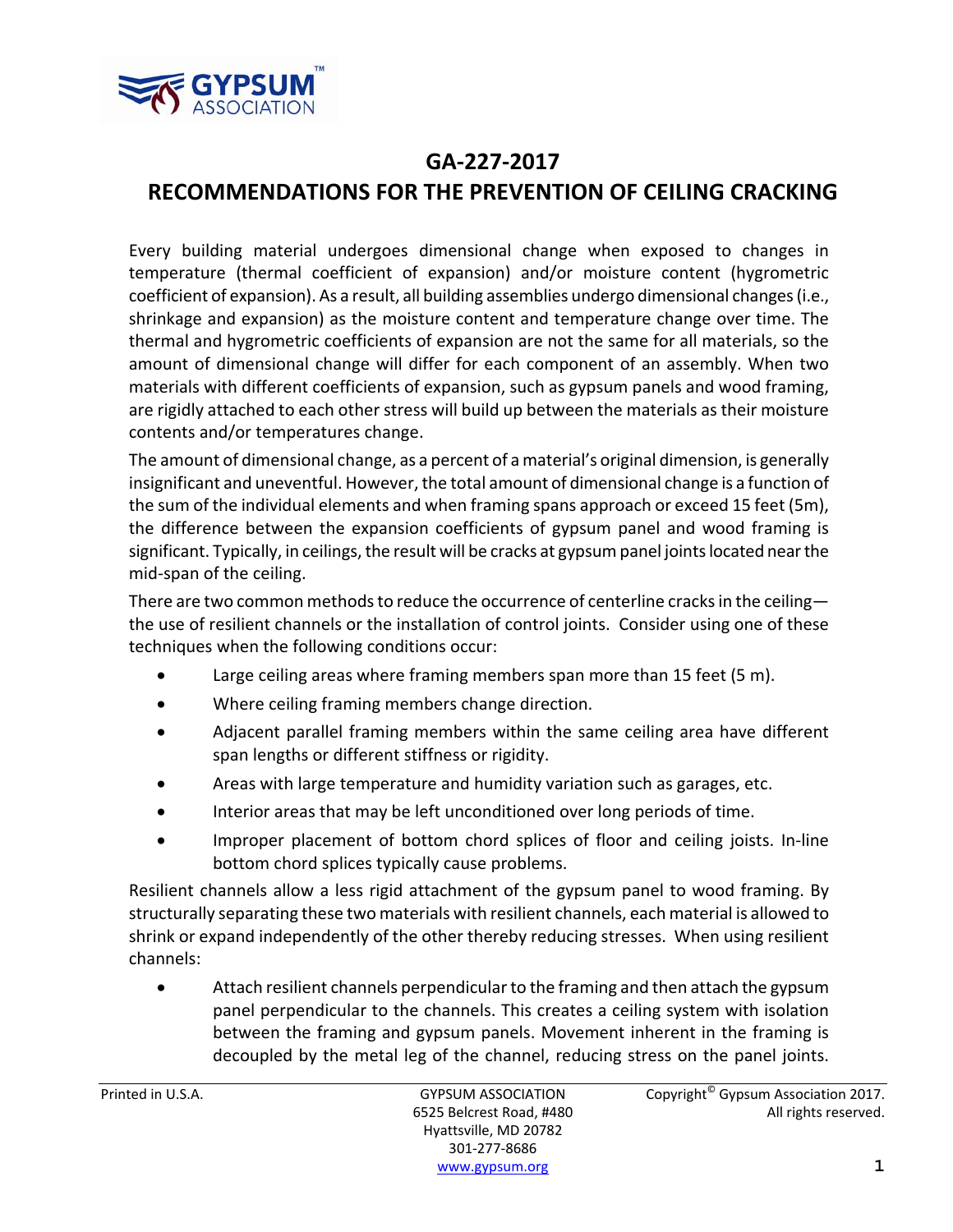

## **GA‐227‐2017**

## **RECOMMENDATIONS FOR THE PREVENTION OF CEILING CRACKING**

Every building material undergoes dimensional change when exposed to changes in temperature (thermal coefficient of expansion) and/or moisture content (hygrometric coefficient of expansion). As a result, all building assemblies undergo dimensional changes(i.e., shrinkage and expansion) as the moisture content and temperature change over time. The thermal and hygrometric coefficients of expansion are not the same for all materials, so the amount of dimensional change will differ for each component of an assembly. When two materials with different coefficients of expansion, such as gypsum panels and wood framing, are rigidly attached to each other stress will build up between the materials as their moisture contents and/or temperatures change.

The amount of dimensional change, as a percent of a material's original dimension, is generally insignificant and uneventful. However, the total amount of dimensional change is a function of the sum of the individual elements and when framing spans approach or exceed 15 feet (5m), the difference between the expansion coefficients of gypsum panel and wood framing is significant. Typically, in ceilings, the result will be cracks at gypsum panel joints located near the mid‐span of the ceiling.

There are two common methods to reduce the occurrence of centerline cracks in the ceiling the use of resilient channels or the installation of control joints. Consider using one of these techniques when the following conditions occur:

- Large ceiling areas where framing members span more than 15 feet (5 m).
- Where ceiling framing members change direction.
- Adjacent parallel framing members within the same ceiling area have different span lengths or different stiffness or rigidity.
- Areas with large temperature and humidity variation such as garages, etc.
- Interior areas that may be left unconditioned over long periods of time.
- Improper placement of bottom chord splices of floor and ceiling joists. In-line bottom chord splices typically cause problems.

Resilient channels allow a less rigid attachment of the gypsum panel to wood framing. By structurally separating these two materials with resilient channels, each material is allowed to shrink or expand independently of the other thereby reducing stresses. When using resilient channels:

 Attach resilient channels perpendicularto the framing and then attach the gypsum panel perpendicular to the channels. This creates a ceiling system with isolation between the framing and gypsum panels. Movement inherent in the framing is decoupled by the metal leg of the channel, reducing stress on the panel joints.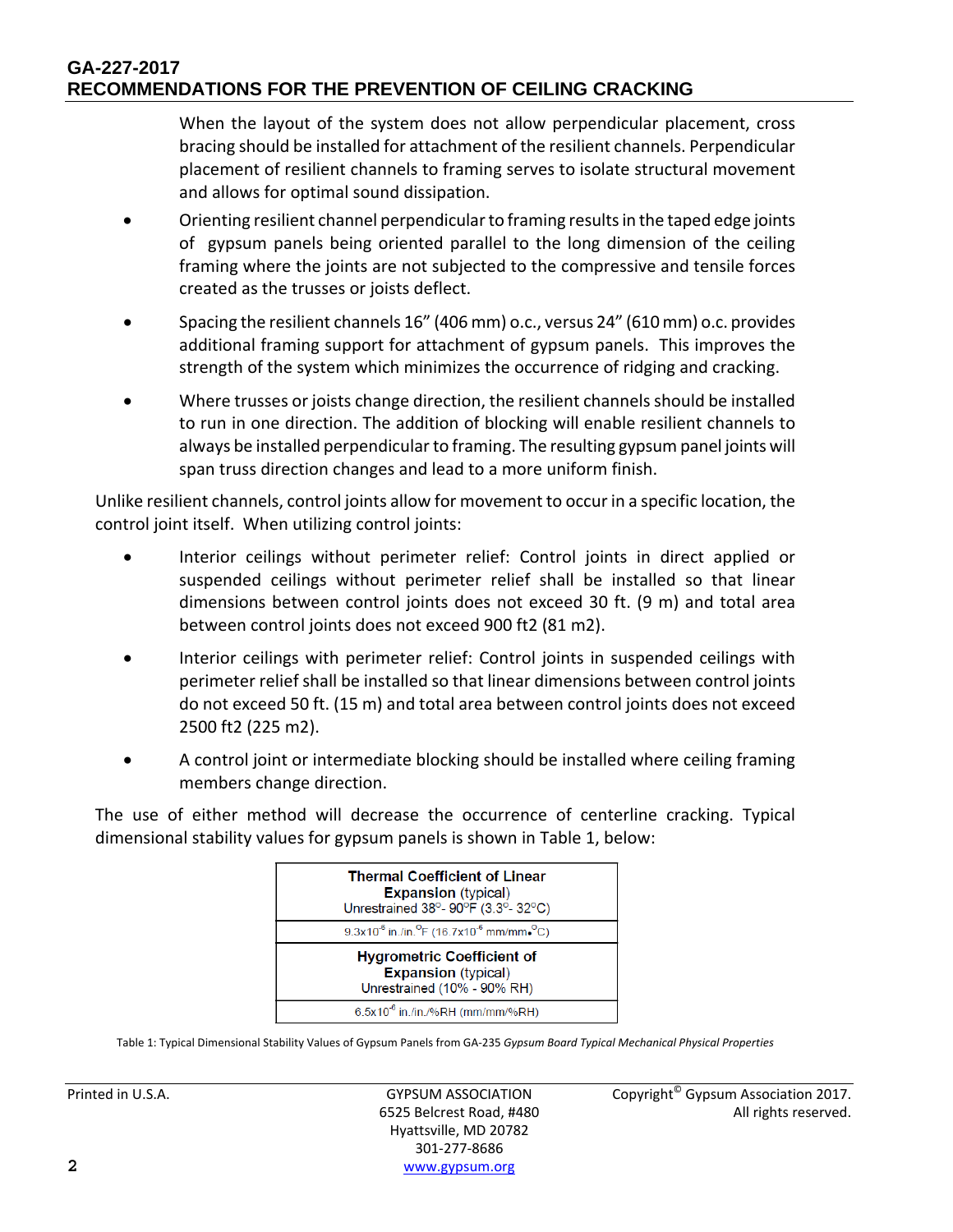## **GA-227-2017 RECOMMENDATIONS FOR THE PREVENTION OF CEILING CRACKING**

When the layout of the system does not allow perpendicular placement, cross bracing should be installed for attachment of the resilient channels. Perpendicular placement of resilient channels to framing serves to isolate structural movement and allows for optimal sound dissipation.

- Orienting resilient channel perpendicularto framing resultsin the taped edge joints of gypsum panels being oriented parallel to the long dimension of the ceiling framing where the joints are not subjected to the compressive and tensile forces created as the trusses or joists deflect.
- Spacing the resilient channels 16" (406 mm) o.c., versus 24" (610mm) o.c. provides additional framing support for attachment of gypsum panels. This improves the strength of the system which minimizes the occurrence of ridging and cracking.
- Where trusses or joists change direction, the resilient channels should be installed to run in one direction. The addition of blocking will enable resilient channels to always be installed perpendicularto framing. The resulting gypsum panel joints will span truss direction changes and lead to a more uniform finish.

Unlike resilient channels, control joints allow for movement to occur in a specific location, the control joint itself. When utilizing control joints:

- Interior ceilings without perimeter relief: Control joints in direct applied or suspended ceilings without perimeter relief shall be installed so that linear dimensions between control joints does not exceed 30 ft. (9 m) and total area between control joints does not exceed 900 ft2 (81 m2).
- Interior ceilings with perimeter relief: Control joints in suspended ceilings with perimeter relief shall be installed so that linear dimensions between control joints do not exceed 50 ft. (15 m) and total area between control joints does not exceed 2500 ft2 (225 m2).
- A control joint or intermediate blocking should be installed where ceiling framing members change direction.

The use of either method will decrease the occurrence of centerline cracking. Typical dimensional stability values for gypsum panels is shown in Table 1, below:



Table 1: Typical Dimensional Stability Values of Gypsum Panels from GA‐235 *Gypsum Board Typical Mechanical Physical Properties*

Hyattsville, MD 20782 301‐277‐8686 **2** www.gypsum.org

Printed in U.S.A. **Example 2017** GYPSUM ASSOCIATION Copyright<sup>©</sup> Gypsum Association 2017. 6525 Belcrest Road, #480 All rights reserved.